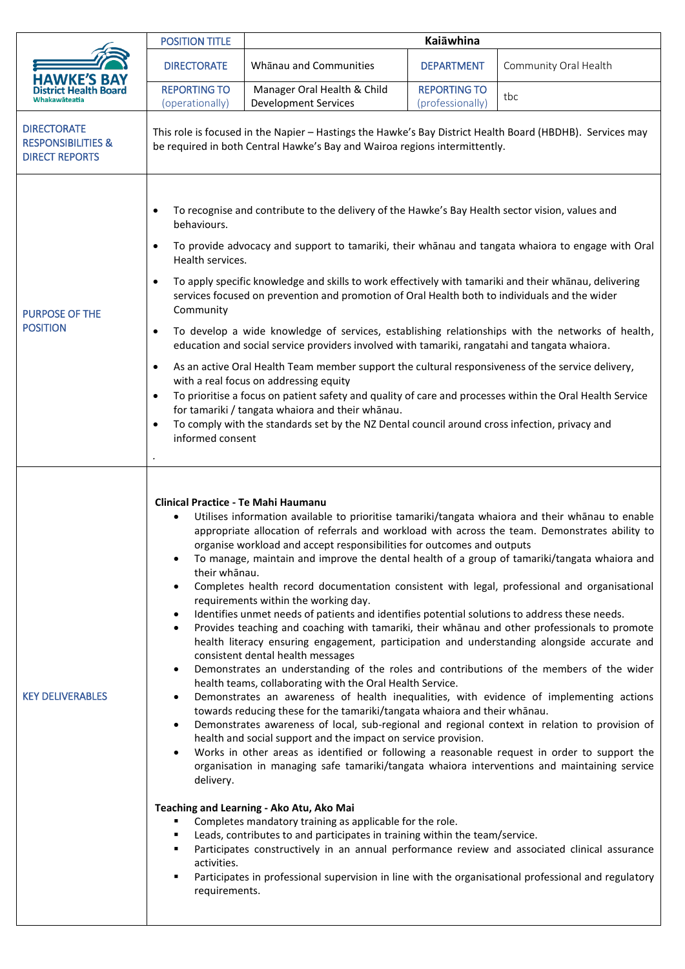|                                                                              | <b>POSITION TITLE</b>                                                                                                                                                                                                                                                                                                                                                                                                                                                                                                                                                                                                                                                                                                                                                                                                                                                                                                                                                                                                                                                                                                                                                                 | Kaiāwhina                                                                                                                                                                                                                                                                                                                                                                                                                                                                                                                                                                                                                                               |                                         |                                                                                                                                                                                                                                                                                                                                                                                                                                                                                                                                                                                                                                                                                                                                                                                                                                                                                                                                                                                                                                                                                                                                                                                                                                                                                                      |
|------------------------------------------------------------------------------|---------------------------------------------------------------------------------------------------------------------------------------------------------------------------------------------------------------------------------------------------------------------------------------------------------------------------------------------------------------------------------------------------------------------------------------------------------------------------------------------------------------------------------------------------------------------------------------------------------------------------------------------------------------------------------------------------------------------------------------------------------------------------------------------------------------------------------------------------------------------------------------------------------------------------------------------------------------------------------------------------------------------------------------------------------------------------------------------------------------------------------------------------------------------------------------|---------------------------------------------------------------------------------------------------------------------------------------------------------------------------------------------------------------------------------------------------------------------------------------------------------------------------------------------------------------------------------------------------------------------------------------------------------------------------------------------------------------------------------------------------------------------------------------------------------------------------------------------------------|-----------------------------------------|------------------------------------------------------------------------------------------------------------------------------------------------------------------------------------------------------------------------------------------------------------------------------------------------------------------------------------------------------------------------------------------------------------------------------------------------------------------------------------------------------------------------------------------------------------------------------------------------------------------------------------------------------------------------------------------------------------------------------------------------------------------------------------------------------------------------------------------------------------------------------------------------------------------------------------------------------------------------------------------------------------------------------------------------------------------------------------------------------------------------------------------------------------------------------------------------------------------------------------------------------------------------------------------------------|
|                                                                              | <b>DIRECTORATE</b>                                                                                                                                                                                                                                                                                                                                                                                                                                                                                                                                                                                                                                                                                                                                                                                                                                                                                                                                                                                                                                                                                                                                                                    | Whanau and Communities                                                                                                                                                                                                                                                                                                                                                                                                                                                                                                                                                                                                                                  | <b>DEPARTMENT</b>                       | Community Oral Health                                                                                                                                                                                                                                                                                                                                                                                                                                                                                                                                                                                                                                                                                                                                                                                                                                                                                                                                                                                                                                                                                                                                                                                                                                                                                |
|                                                                              | <b>REPORTING TO</b><br>(operationally)                                                                                                                                                                                                                                                                                                                                                                                                                                                                                                                                                                                                                                                                                                                                                                                                                                                                                                                                                                                                                                                                                                                                                | Manager Oral Health & Child<br><b>Development Services</b>                                                                                                                                                                                                                                                                                                                                                                                                                                                                                                                                                                                              | <b>REPORTING TO</b><br>(professionally) | tbc                                                                                                                                                                                                                                                                                                                                                                                                                                                                                                                                                                                                                                                                                                                                                                                                                                                                                                                                                                                                                                                                                                                                                                                                                                                                                                  |
| <b>DIRECTORATE</b><br><b>RESPONSIBILITIES &amp;</b><br><b>DIRECT REPORTS</b> | This role is focused in the Napier - Hastings the Hawke's Bay District Health Board (HBDHB). Services may<br>be required in both Central Hawke's Bay and Wairoa regions intermittently.                                                                                                                                                                                                                                                                                                                                                                                                                                                                                                                                                                                                                                                                                                                                                                                                                                                                                                                                                                                               |                                                                                                                                                                                                                                                                                                                                                                                                                                                                                                                                                                                                                                                         |                                         |                                                                                                                                                                                                                                                                                                                                                                                                                                                                                                                                                                                                                                                                                                                                                                                                                                                                                                                                                                                                                                                                                                                                                                                                                                                                                                      |
| <b>PURPOSE OF THE</b><br><b>POSITION</b>                                     | To recognise and contribute to the delivery of the Hawke's Bay Health sector vision, values and<br>behaviours.<br>To provide advocacy and support to tamariki, their whanau and tangata whaiora to engage with Oral<br>$\bullet$<br>Health services.<br>To apply specific knowledge and skills to work effectively with tamariki and their whanau, delivering<br>$\bullet$<br>services focused on prevention and promotion of Oral Health both to individuals and the wider<br>Community<br>To develop a wide knowledge of services, establishing relationships with the networks of health,<br>$\bullet$<br>education and social service providers involved with tamariki, rangatahi and tangata whaiora.<br>As an active Oral Health Team member support the cultural responsiveness of the service delivery,<br>$\bullet$<br>with a real focus on addressing equity<br>To prioritise a focus on patient safety and quality of care and processes within the Oral Health Service<br>$\bullet$<br>for tamariki / tangata whaiora and their whānau.<br>To comply with the standards set by the NZ Dental council around cross infection, privacy and<br>$\bullet$<br>informed consent |                                                                                                                                                                                                                                                                                                                                                                                                                                                                                                                                                                                                                                                         |                                         |                                                                                                                                                                                                                                                                                                                                                                                                                                                                                                                                                                                                                                                                                                                                                                                                                                                                                                                                                                                                                                                                                                                                                                                                                                                                                                      |
| <b>KEY DELIVERABLES</b>                                                      | <b>Clinical Practice - Te Mahi Haumanu</b><br>$\bullet$<br>their whānau.<br>٠<br>$\bullet$<br>$\bullet$<br>$\bullet$<br>$\bullet$<br>$\bullet$<br>$\bullet$<br>delivery.<br>п<br>٠<br>activities.<br>٠<br>requirements.                                                                                                                                                                                                                                                                                                                                                                                                                                                                                                                                                                                                                                                                                                                                                                                                                                                                                                                                                               | organise workload and accept responsibilities for outcomes and outputs<br>requirements within the working day.<br>Identifies unmet needs of patients and identifies potential solutions to address these needs.<br>consistent dental health messages<br>health teams, collaborating with the Oral Health Service.<br>towards reducing these for the tamariki/tangata whaiora and their whānau.<br>health and social support and the impact on service provision.<br>Teaching and Learning - Ako Atu, Ako Mai<br>Completes mandatory training as applicable for the role.<br>Leads, contributes to and participates in training within the team/service. |                                         | Utilises information available to prioritise tamariki/tangata whaiora and their whānau to enable<br>appropriate allocation of referrals and workload with across the team. Demonstrates ability to<br>To manage, maintain and improve the dental health of a group of tamariki/tangata whaiora and<br>Completes health record documentation consistent with legal, professional and organisational<br>Provides teaching and coaching with tamariki, their whanau and other professionals to promote<br>health literacy ensuring engagement, participation and understanding alongside accurate and<br>Demonstrates an understanding of the roles and contributions of the members of the wider<br>Demonstrates an awareness of health inequalities, with evidence of implementing actions<br>Demonstrates awareness of local, sub-regional and regional context in relation to provision of<br>Works in other areas as identified or following a reasonable request in order to support the<br>organisation in managing safe tamariki/tangata whaiora interventions and maintaining service<br>Participates constructively in an annual performance review and associated clinical assurance<br>Participates in professional supervision in line with the organisational professional and regulatory |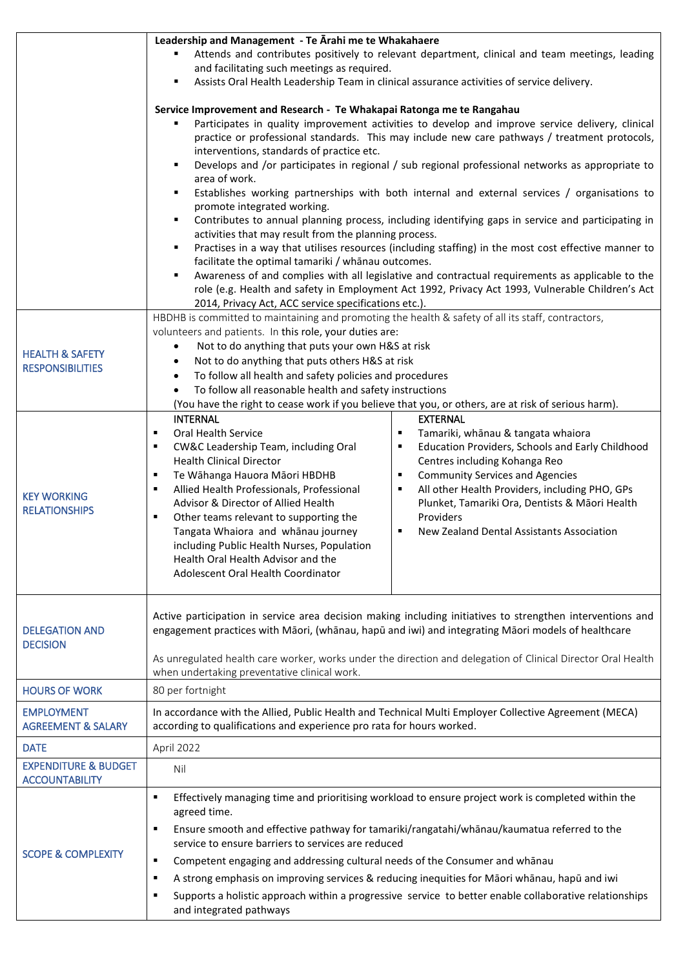|                                                          | Attends and contributes positively to relevant department, clinical and team meetings, leading                                                                                                                                                                                                                                                                                                                                                                                                                                                                                                                                                                                                                                                                                                                                                                         |  |  |  |
|----------------------------------------------------------|------------------------------------------------------------------------------------------------------------------------------------------------------------------------------------------------------------------------------------------------------------------------------------------------------------------------------------------------------------------------------------------------------------------------------------------------------------------------------------------------------------------------------------------------------------------------------------------------------------------------------------------------------------------------------------------------------------------------------------------------------------------------------------------------------------------------------------------------------------------------|--|--|--|
|                                                          | and facilitating such meetings as required.                                                                                                                                                                                                                                                                                                                                                                                                                                                                                                                                                                                                                                                                                                                                                                                                                            |  |  |  |
|                                                          | Assists Oral Health Leadership Team in clinical assurance activities of service delivery.<br>п                                                                                                                                                                                                                                                                                                                                                                                                                                                                                                                                                                                                                                                                                                                                                                         |  |  |  |
|                                                          | Service Improvement and Research - Te Whakapai Ratonga me te Rangahau<br>Participates in quality improvement activities to develop and improve service delivery, clinical<br>practice or professional standards. This may include new care pathways / treatment protocols,<br>interventions, standards of practice etc.<br>Develops and /or participates in regional / sub regional professional networks as appropriate to<br>п<br>area of work.<br>Establishes working partnerships with both internal and external services / organisations to<br>٠<br>promote integrated working.<br>Contributes to annual planning process, including identifying gaps in service and participating in<br>٠<br>activities that may result from the planning process.<br>Practises in a way that utilises resources (including staffing) in the most cost effective manner to<br>٠ |  |  |  |
|                                                          | facilitate the optimal tamariki / whānau outcomes.<br>Awareness of and complies with all legislative and contractual requirements as applicable to the<br>$\blacksquare$<br>role (e.g. Health and safety in Employment Act 1992, Privacy Act 1993, Vulnerable Children's Act<br>2014, Privacy Act, ACC service specifications etc.).                                                                                                                                                                                                                                                                                                                                                                                                                                                                                                                                   |  |  |  |
| <b>HEALTH &amp; SAFETY</b><br><b>RESPONSIBILITIES</b>    | HBDHB is committed to maintaining and promoting the health & safety of all its staff, contractors,<br>volunteers and patients. In this role, your duties are:<br>Not to do anything that puts your own H&S at risk<br>$\bullet$<br>Not to do anything that puts others H&S at risk<br>٠<br>To follow all health and safety policies and procedures<br>$\bullet$<br>To follow all reasonable health and safety instructions<br>(You have the right to cease work if you believe that you, or others, are at risk of serious harm).                                                                                                                                                                                                                                                                                                                                      |  |  |  |
| <b>KEY WORKING</b><br><b>RELATIONSHIPS</b>               | <b>INTERNAL</b><br><b>EXTERNAL</b><br>Oral Health Service<br>Tamariki, whānau & tangata whaiora<br>٠<br>п<br>CW&C Leadership Team, including Oral<br>Education Providers, Schools and Early Childhood<br>٠<br>٠<br><b>Health Clinical Director</b><br>Centres including Kohanga Reo<br>Te Wāhanga Hauora Māori HBDHB<br><b>Community Services and Agencies</b><br>п<br>٠<br>Allied Health Professionals, Professional<br>All other Health Providers, including PHO, GPs<br>٠<br>п<br>Advisor & Director of Allied Health<br>Plunket, Tamariki Ora, Dentists & Māori Health<br>Providers<br>Other teams relevant to supporting the<br>٠<br>New Zealand Dental Assistants Association<br>Tangata Whaiora and whānau journey<br>$\blacksquare$<br>including Public Health Nurses, Population<br>Health Oral Health Advisor and the<br>Adolescent Oral Health Coordinator  |  |  |  |
| <b>DELEGATION AND</b><br><b>DECISION</b>                 | Active participation in service area decision making including initiatives to strengthen interventions and<br>engagement practices with Māori, (whānau, hapū and iwi) and integrating Māori models of healthcare<br>As unregulated health care worker, works under the direction and delegation of Clinical Director Oral Health<br>when undertaking preventative clinical work.                                                                                                                                                                                                                                                                                                                                                                                                                                                                                       |  |  |  |
| <b>HOURS OF WORK</b>                                     | 80 per fortnight                                                                                                                                                                                                                                                                                                                                                                                                                                                                                                                                                                                                                                                                                                                                                                                                                                                       |  |  |  |
| <b>EMPLOYMENT</b><br><b>AGREEMENT &amp; SALARY</b>       | In accordance with the Allied, Public Health and Technical Multi Employer Collective Agreement (MECA)<br>according to qualifications and experience pro rata for hours worked.                                                                                                                                                                                                                                                                                                                                                                                                                                                                                                                                                                                                                                                                                         |  |  |  |
| <b>DATE</b>                                              | April 2022                                                                                                                                                                                                                                                                                                                                                                                                                                                                                                                                                                                                                                                                                                                                                                                                                                                             |  |  |  |
| <b>EXPENDITURE &amp; BUDGET</b><br><b>ACCOUNTABILITY</b> | Nil                                                                                                                                                                                                                                                                                                                                                                                                                                                                                                                                                                                                                                                                                                                                                                                                                                                                    |  |  |  |
| <b>SCOPE &amp; COMPLEXITY</b>                            | Effectively managing time and prioritising workload to ensure project work is completed within the<br>п<br>agreed time.<br>Ensure smooth and effective pathway for tamariki/rangatahi/whānau/kaumatua referred to the<br>٠<br>service to ensure barriers to services are reduced<br>Competent engaging and addressing cultural needs of the Consumer and whanau<br>٠<br>A strong emphasis on improving services & reducing inequities for Māori whānau, hapū and iwi<br>٠<br>Supports a holistic approach within a progressive service to better enable collaborative relationships<br>п<br>and integrated pathways                                                                                                                                                                                                                                                    |  |  |  |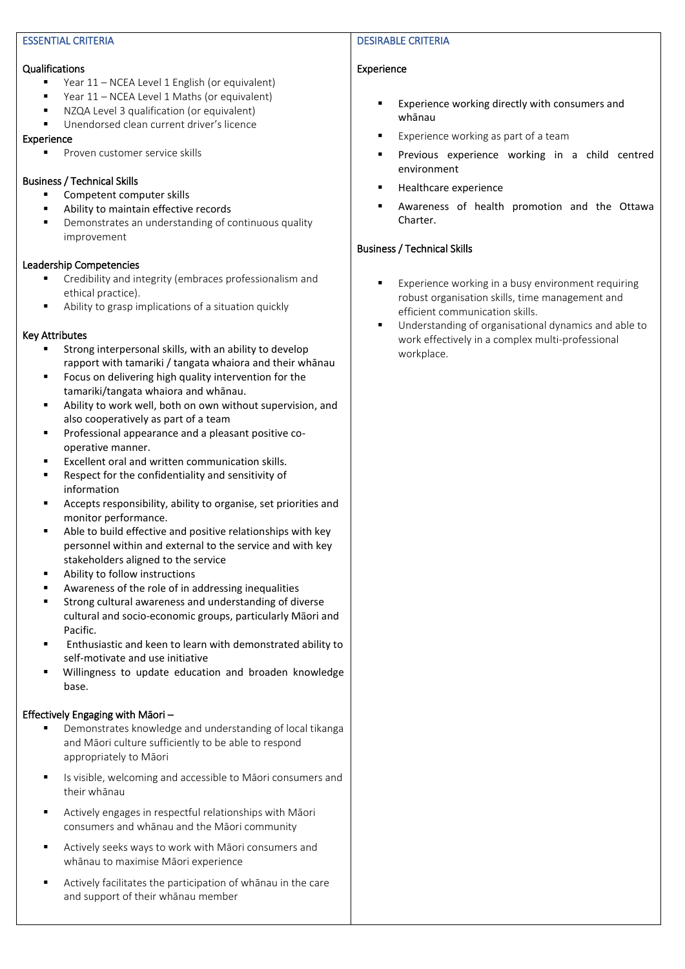#### ESSENTIAL CRITERIA

#### Qualifications

- Year 11 NCEA Level 1 English (or equivalent)
- Year 11 NCEA Level 1 Maths (or equivalent)
- NZQA Level 3 qualification (or equivalent)
- Unendorsed clean current driver's licence

#### Experience

▪ Proven customer service skills

# Business / Technical Skills

- Competent computer skills
- Ability to maintain effective records
- Demonstrates an understanding of continuous quality improvement

# Leadership Competencies

- Credibility and integrity (embraces professionalism and ethical practice).
- Ability to grasp implications of a situation quickly

# Key Attributes

- Strong interpersonal skills, with an ability to develop rapport with tamariki / tangata whaiora and their whānau
- Focus on delivering high quality intervention for the tamariki/tangata whaiora and whānau.
- Ability to work well, both on own without supervision, and also cooperatively as part of a team
- Professional appearance and a pleasant positive cooperative manner.
- Excellent oral and written communication skills.
- Respect for the confidentiality and sensitivity of information
- Accepts responsibility, ability to organise, set priorities and monitor performance.
- Able to build effective and positive relationships with key personnel within and external to the service and with key stakeholders aligned to the service
- Ability to follow instructions
- Awareness of the role of in addressing inequalities
- Strong cultural awareness and understanding of diverse cultural and socio-economic groups, particularly Māori and Pacific.
- Enthusiastic and keen to learn with demonstrated ability to self-motivate and use initiative
- Willingness to update education and broaden knowledge base.

# Effectively Engaging with Māori –

- Demonstrates knowledge and understanding of local tikanga and Māori culture sufficiently to be able to respond appropriately to Māori
- Is visible, welcoming and accessible to Māori consumers and their whānau
- Actively engages in respectful relationships with Māori consumers and whānau and the Māori community
- Actively seeks ways to work with Māori consumers and whānau to maximise Māori experience
- Actively facilitates the participation of whānau in the care and support of their whānau member

#### DESIRABLE CRITERIA

# Experience

- Experience working directly with consumers and whānau
- Experience working as part of a team
- **·** Previous experience working in a child centred environment
- Healthcare experience
- Awareness of health promotion and the Ottawa Charter.

# Business / Technical Skills

- Experience working in a busy environment requiring robust organisation skills, time management and efficient communication skills.
- Understanding of organisational dynamics and able to work effectively in a complex multi-professional workplace.